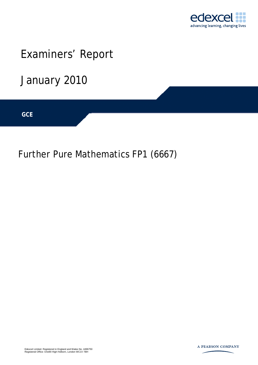

# Examiners' Report

January 2010

GCE

Further Pure Mathematics FP1 (6667)



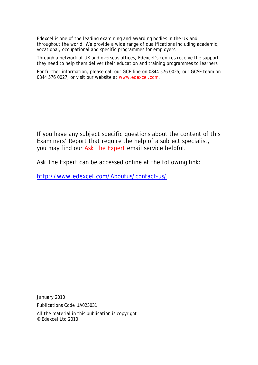Edexcel is one of the leading examining and awarding bodies in the UK and throughout the world. We provide a wide range of qualifications including academic, vocational, occupational and specific programmes for employers.

Through a network of UK and overseas offices, Edexcel's centres receive the support they need to help them deliver their education and training programmes to learners.

For further information, please call our GCE line on 0844 576 0025, our GCSE team on 0844 576 0027, or visit our website at www.edexcel.com.

If you have any subject specific questions about the content of this Examiners' Report that require the help of a subject specialist, you may find our Ask The Expert email service helpful.

Ask The Expert can be accessed online at the following link:

http://www.edexcel.com/Aboutus/contact-us/

January 2010

Publications Code UA023031

All the material in this publication is copyright © Edexcel Ltd 2010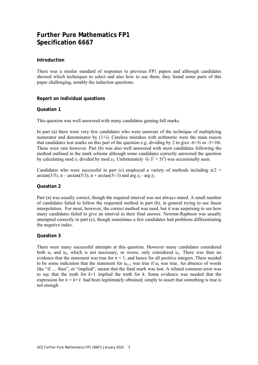### **Further Pure Mathematics FP1 Specification 6667**

#### **Introduction**

There was a similar standard of responses to previous FP1 papers and although candidates showed which techniques to select and also how to use them, they found some parts of this paper challenging, notably the induction questions.

#### **Report on individual questions**

#### **Question 1**

This question was well answered with many candidates gaining full marks.

In part (a) there were very few candidates who were unaware of the technique of multiplying numerator and denominator by  $(1+i)$ . Careless mistakes with arithmetic were the main reason that candidates lost marks on this part of the question e.g. dividing by 2 to give -6+5i or -3+10i. These were rare however. Part (b) was also well answered with most candidates following the method outlined in the mark scheme although some candidates correctly answered the question by calculating mod  $z_1$  divided by mod  $z_2$ . Unfortunately  $\sqrt{(-3^2 + 5i^2)}$  was occasionally seen.

Candidates who were successful in part (c) employed a variety of methods including  $\pi/2$  + arctan(3/5),  $\pi$  – arctan(5/3),  $\pi$  + arctan(5/-3) and arg  $z_1$  - arg  $z_2$ 

#### **Question 2**

Part (a) was usually correct, though the required interval was not always stated. A small number of candidates failed to follow the requested method in part (b), in general trying to use linear interpolation. For most, however, the correct method was used, but it was surprising to see how many candidates failed to give an interval in their final answer. Newton-Raphson was usually attempted correctly in part (c), though sometimes a few candidates had problems differentiating the negative index.

#### **Question 3**

There were many successful attempts at this question. However many candidates considered both  $u_1$  and  $u_2$ , which is not necessary, or worse, only considered  $u_2$ . There was then no evidence that the statement was true for  $n = 1$ , and hence for all positive integers. There needed to be some indication that the statement for  $u_{k+1}$  was true if  $u_k$  was true. An absence of words like "if … then", or "implied", meant that the final mark was lost. A related common error was to say that the truth for *k*+1 implied the truth for *k*. Some evidence was needed that the expression for  $n = k+1$  had been legitimately obtained; simply to assert that something is true is not enough.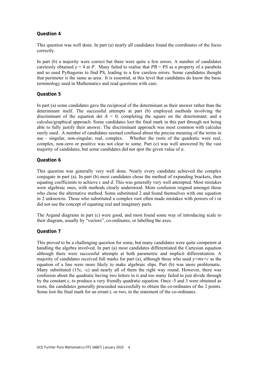#### **Question 4**

This question was well done. In part (a) nearly all candidates found the coordinates of the focus correctly.

In part (b) a majority were correct but there were quite a few errors. A number of candidates carelessly obtained  $y = 4$  at *P*. Many failed to realise that  $PB = PS$  as a property of a parabola and so used Pythagoras to find PS, leading to a few careless errors. Some candidates thought that perimeter is the same as area. It is essential, at this level that candidates do know the basic terminology used in Mathematics and read questions with care.

#### **Question 5**

In part (a) some candidates gave the reciprocal of the determinant as their answer rather than the determinant itself. The successful attempts at part (b) employed methods involving the discriminant of the equation det  $A = 0$ ; completing the square on the determinant; and a calculus/graphical approach. Some candidates lost the final mark in this part through not being able to fully justify their answer. The discriminant approach was most common with calculus rarely used. A number of candidates seemed confused about the precise meaning of the terms in use - singular, non-singular, real, complex. Whether the roots of the quadratic were real, complex, non-zero or positive was not clear to some. Part (c) was well answered by the vast majority of candidates, but some candidates did not spot the given value of *a*.

#### **Question 6**

This question was generally very well done. Nearly every candidate achieved the complex conjugate in part (a). In part (b) most candidates chose the method of expanding brackets, then equating coefficients to achieve *c* and *d*. This was generally very well attempted. Most mistakes were algebraic ones, with methods clearly understood. More confusion reigned amongst those who chose the alternative method. Some substituted 2 and found themselves with one equation in 2 unknowns. Those who substituted a complex root often made mistakes with powers of i or did not use the concept of equating real and imaginary parts.

The Argand diagrams in part (c) were good, and most found some way of introducing scale to their diagram, usually by "vectors", co-ordinates, or labelling the axes.

#### **Question 7**

This proved to be a challenging question for some, but many candidates were quite competent at handling the algebra involved. In part (a) most candidates differentiated the Cartesian equation although there were successful attempts at both parametric and implicit differentiation. A majority of candidates received full marks for part (a), although those who used  $y=mx+c$  as the equation of a line were more likely to make algebraic slips. Part (b) was more problematic. Many substituted (15c, -c) and nearly all of them the right way round. However, there was confusion about the quadratic having two letters in it and too many failed to just divide through by the constant c, to produce a very friendly quadratic equation. Once -5 and 3 were obtained as roots, the candidates generally proceeded successfully to obtain the co-ordinates of the 2 points. Some lost the final mark for an errant *t*, or two, in the statement of the co-ordinates.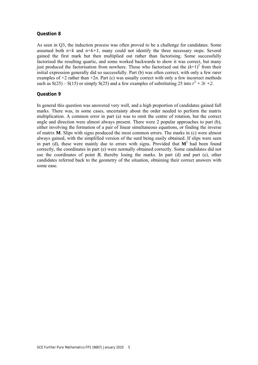#### **Question 8**

As seen in Q3, the induction process was often proved to be a challenge for candidates. Some assumed both  $n=k$  and  $n=k+1$ , many could not identify the three necessary steps. Several gained the first mark but then multiplied out rather than factorising. Some successfully factorised the resulting quartic, and some worked backwards to show it was correct, but many just produced the factorisation from nowhere. Those who factorised out the  $(k+1)^2$  from their initial expression generally did so successfully. Part (b) was often correct, with only a few rarer examples of  $+2$  rather than  $+2n$ . Part (c) was usually correct with only a few incorrect methods such as  $S(25) - S(15)$  or simply  $S(25)$  and a few examples of substituting 25 into  $r^3 + 3r + 2$ .

#### **Question 9**

In general this question was answered very well, and a high proportion of candidates gained full marks. There was, in some cases, uncertainty about the order needed to perform the matrix multiplication. A common error in part (a) was to omit the centre of rotation, but the correct angle and direction were almost always present. There were 2 popular approaches to part (b), either involving the formation of a pair of linear simultaneous equations, or finding the inverse of matrix **M**. Slips with signs produced the most common errors. The marks in (c) were almost always gained, with the simplified version of the surd being easily obtained. If slips were seen in part (d), these were mainly due to errors with signs. Provided that  $M<sup>2</sup>$  had been found correctly, the coordinates in part (e) were normally obtained correctly. Some candidates did not use the coordinates of point  $B$ , thereby losing the marks. In part (d) and part (e), other candidates referred back to the geometry of the situation, obtaining their correct answers with some ease.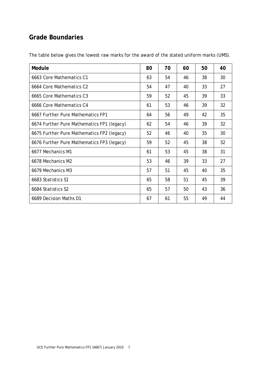## **Grade Boundaries**

| Module                                     | 80 | 70 | 60 | 50 | 40 |
|--------------------------------------------|----|----|----|----|----|
| 6663 Core Mathematics C1                   | 63 | 54 | 46 | 38 | 30 |
| 6664 Core Mathematics C2                   | 54 | 47 | 40 | 33 | 27 |
| 6665 Core Mathematics C3                   | 59 | 52 | 45 | 39 | 33 |
| 6666 Core Mathematics C4                   | 61 | 53 | 46 | 39 | 32 |
| 6667 Further Pure Mathematics FP1          | 64 | 56 | 49 | 42 | 35 |
| 6674 Further Pure Mathematics FP1 (legacy) | 62 | 54 | 46 | 39 | 32 |
| 6675 Further Pure Mathematics FP2 (legacy) | 52 | 46 | 40 | 35 | 30 |
| 6676 Further Pure Mathematics FP3 (legacy) | 59 | 52 | 45 | 38 | 32 |
| 6677 Mechanics M1                          | 61 | 53 | 45 | 38 | 31 |
| 6678 Mechanics M2                          | 53 | 46 | 39 | 33 | 27 |
| 6679 Mechanics M3                          | 57 | 51 | 45 | 40 | 35 |
| 6683 Statistics S1                         | 65 | 58 | 51 | 45 | 39 |
| 6684 Statistics S2                         | 65 | 57 | 50 | 43 | 36 |
| 6689 Decision Maths D1                     | 67 | 61 | 55 | 49 | 44 |

The table below gives the lowest raw marks for the award of the stated uniform marks (UMS).